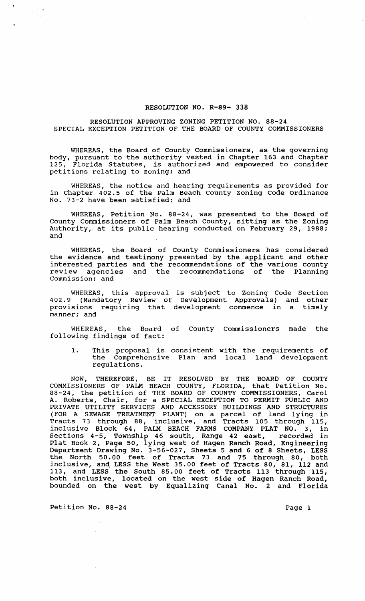## RESOLUTION NO. R-89- 338

## RESOLUTION APPROVING ZONING PETITION NO. 88-24 SPECIAL EXCEPTION PETITION OF THE BOARD OF COUNTY COMMISSIONERS

WHEREAS, the Board of County Commissioners, as the governing body, pursuant to the authority vested in Chapter 163 and Chapter 125, Florida Statutes, is authorized and empowered to consider petitions relating to zoning; and

WHEREAS, the notice and hearing requirements as provided for in Chapter 402.5 of the Palm Beach County Zoning Code Ordinance No. 73-2 have been satisfied; and

WHEREAS, Petition No. 88-24, was presented to the Board of county Commissioners of Palm Beach County, sitting as the Zoning Authority, at its public hearing conducted on February 29, 1988; and

WHEREAS, the Board of County Commissioners has considered the evidence and testimony presented by the applicant and other interested parties and the recommendations of the various county review agencies and the recommendations of the Planning Commission; and

WHEREAS, this approval is subject to Zoning Code Section 402.9 (Mandatory Review of Development Approvals) and other provisions requiring that development commence in a timely manner; and

WHEREAS, the Board of County Commissioners made the following findings of fact:

1. This proposal is consistent with the requirements of the Comprehensive Plan and local land development regulations.

NOW, THEREFORE, BE IT RESOLVED BY THE BOARD OF COUNTY COMMISSIONERS OF PALM BEACH COUNTY, FLORIDA, that Petition No. 88-24, the petition of THE BOARD OF COUNTY COMMISSIONERS, Carol A. Roberts, Chair, for a SPECIAL EXCEPTION TO PERMIT PUBLIC AND PRIVATE UTILITY SERVICES AND ACCESSORY BUILDINGS AND STRUCTURES (FOR A SEWAGE TREATMENT PLANT) on a parcel of land lying in Tracts 73 through 88, inclusive, and Tracts 105 through 115, inclusive Block 64, PALM BEACH FARMS COMPANY PLAT NO.3, in sections 4-5, Township 46 south, Range 42 east, recorded in Plat Book 2, Page 50, lying west of Hagen Ranch Road, Engineering Department Drawing No. 3-56-027, Sheets 5 and 6 of 8 Sheets, LESS the North 50.00 feet of Tracts 73 and 75 through 80, both inclusive, and, LESS the west 35.00 feet of Tracts 80, 81, 112 and 113, and LESS the South 85.00 feet of Tracts 113 through 115, both inclusive, located on the west side of Hagen Ranch Road, bounded on the west by Equalizing Canal No. 2 and Florida

Petition No. 88-24 Page 1

 $\mathcal{A}_\bullet$ 

 $\label{eq:2} \begin{array}{c} \mathcal{L}_{\text{eff}}(\mathcal{F}) = \mathcal{E}(\mathcal{F}) \\ \mathcal{E}(\mathcal{F}) = \mathcal{E}(\mathcal{F}) \end{array}$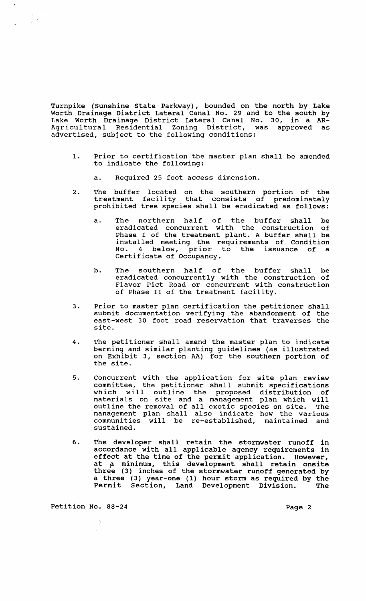Turnpike (Sunshine state Parkway), bounded on the north by Lake Worth Drainage District Lateral Canal No. 29 and to the south by Lake Worth Drainage District Lateral Canal No. 30, in a AR-Agricultural Residential zoning District, was approved as advertised, subject to the following conditions:

- 1. Prior to certification the master plan shall be amended to indicate the following:
	- a. Required 25 foot access dimension.
- 2. The buffer located on the southern portion of the treatment facility that consists of predominately prohibited tree species shall be eradicated as follows:
	- a. The northern half of the buffer shall be eradicated concurrent with the construction of Phase I of the treatment plant. A buffer shall be installed meeting the requirements of Condition No. 4 below, prior to the issuance of a Certificate of Occupancy.
	- b. The southern half of the buffer shall be eradicated concurrently with the construction of Flavor pict Road or concurrent with construction of Phase II of the treatment facility.
- 3. Prior to master plan certification the petitioner shall submit documentation verifying the abandonment of the east-west 30 foot road reservation that traverses the site.
- 4. The petitioner shall amend the master plan to indicate berming and similar planting guidelines (as illustrated on Exhibit 3, section AA) for the southern portion of the site.
- 5. Concurrent with the application for site plan review committee, the petitioner shall submit specifications which will outline the proposed distribution of mitch with cacting one proposed discribution of<br>materials on site and a management plan which will materials on site and a management pian which will management plan shall also indicate how the various communities will be re-established, maintained and sustained.
- 6. The developer shall retain the stormwater runoff in accordance with all applicable agency requirements in effect at the time of the permit application. However, at a minimum, this development shall retain onsite three (3) inches of the stormwater runoff generated by a three (3) year-one (1) hour storm as required by the Permit Section, Land Development Division. The

Petition No. 88-24 Page 2

 $\mathcal{A}_\bullet$ 

 $\label{eq:2} \frac{1}{\sqrt{2\pi}}\sum_{\substack{\mathbf{p}\in\mathbb{R}^3\\ \mathbf{p}\in\mathbb{R}^3}}\frac{1}{\sqrt{2\pi}}\sum_{\substack{\mathbf{p}\in\mathbb{R}^3\\ \mathbf{p}\in\mathbb{R}^3}}\frac{1}{\sqrt{2\pi}}\sum_{\substack{\mathbf{p}\in\mathbb{R}^3\\ \mathbf{p}\in\mathbb{R}^3}}\frac{1}{\sqrt{2\pi}}\sum_{\substack{\mathbf{p}\in\mathbb{R}^3\\ \mathbf{p}\in\mathbb{R}^3}}\frac{1}{\sqrt{2\pi}}\$ 

 $\sim$   $\mu$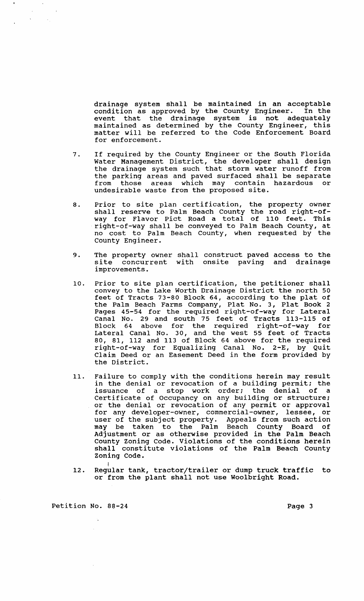drainage system shall be maintained in an acceptable condition as approved by the County Engineer. In the event that the drainage system is not adequately maintained as determined by the County Engineer, this matter will be referred to the Code Enforcement Board for enforcement.

- 7. If required by the County Engineer or the South Florida water Management District, the developer shall design the drainage system such that storm water runoff from the parking areas and paved surfaced shall be separate from those areas which may contain hazardous or undesirable waste from the proposed site.
- 8. Prior to site plan certification, the property owner shall reserve to Palm Beach County the road right-ofway for Flavor Pict Road a total of 110 feet. This right-of-way shall be conveyed to Palm Beach County, at no cost to Palm Beach County, when requested by the County Engineer.
- 9. The property owner shall construct paved access to the site concurrent with onsite paving and drainage improvements.
- 10. Prior to site plan certification, the petitioner shall convey to the Lake Worth Drainage District the north 50 feet of Tracts 73-80 Block 64, according to the plat of the Palm Beach Farms Company, Plat No. 3, Plat Book 2 Pages 45-54 for the required right-of-way for Lateral Canal No. 29 and south 75 feet of Tracts 113-115 of Block 64 above for the required right-of-way for Lateral Canal No. 30, and the west 55 feet of Tracts 80, 81, 112 and 113 of Block 64 above for the required right-of-way for Equalizing Canal No. 2-E, by Quit Claim Deed or an Easement Deed in the form provided by the District.
- 11. Failure to comply with the conditions herein may result in the denial or revocation of a building permit; the issuance of a stop work order; the denial of a Certificate of Occupancy on any building or structure; or the denial or revocation of any permit or approval for any developer-owner, commercial-owner, lessee, or user of the subject property. Appeals from such action may be taken to the Palm Beach County Board of Adjustment or as otherwise provided in the Palm Beach County Zoning Code. Violations of the conditions herein shall constitute violations of the Palm Beach County
- Zoning Code.<br>12. Regular tank, tractor/trailer or dump truck traffic to Regular tank, tractor/trailer or dump truck traffic to<br>or from the plant shall not use Woolbright Road.

Petition No. 88-24 Page 3

 $\sim$   $\lambda$ 

 $\sim$   $\epsilon_{\rm g}$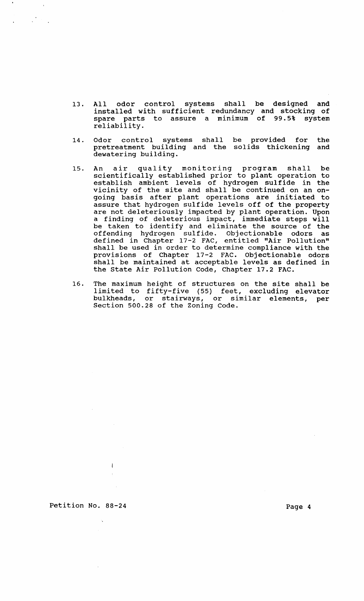- 13. All odor control systems shall be designed and installed with sufficient redundancy and stocking of spare parts to assure a minimum of 99.5% system reliability.
- 14. Odor control systems shall be provided for pretreatment building and the solids thickening and dewatering building. the
- 15. An air quality monitoring program shall be scientifically established prior to plant operation to establish ambient levels of hydrogen sulfide in the vicinity of the site and shall be continued on an ongoing basis after plant operations are initiated to assure that hydrogen sulfide levels off of the property are not deleteriously impacted by plant operation. Upon a finding of deleterious impact, immediate steps will be taken to identify and eliminate the source of the offending hydrogen sulfide. Objectionable odors as defined in Chapter 17-2 FAC, entitled "Air Pollution" shall be used in order to determine compliance with the provisions of Chapter 17-2 FAC. Objectionable odors shall be maintained at acceptable levels as defined in the state Air Pollution Code, Chapter 17.2 FAC.
- 16. The maximum height of structures on the site shall be limited to fifty-five (55) feet, excluding elevator bulkheads, or stairways, or similar elements, per Section 500.28 of the Zoning Code.

Petition No. 88-24 Page 4

 $\overline{1}$ 

 $\frac{1}{2} \sum_{i=1}^n \frac{1}{2} \sum_{j=1}^n \frac{1}{2} \sum_{j=1}^n \frac{1}{2} \sum_{j=1}^n \frac{1}{2} \sum_{j=1}^n \frac{1}{2} \sum_{j=1}^n \frac{1}{2} \sum_{j=1}^n \frac{1}{2} \sum_{j=1}^n \frac{1}{2} \sum_{j=1}^n \frac{1}{2} \sum_{j=1}^n \frac{1}{2} \sum_{j=1}^n \frac{1}{2} \sum_{j=1}^n \frac{1}{2} \sum_{j=1}^n \frac{1}{2} \sum_{j=$